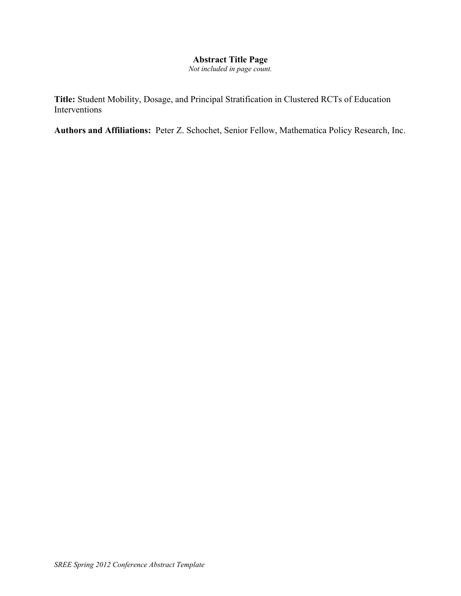# **Abstract Title Page**

*Not included in page count.* 

**Title:** Student Mobility, Dosage, and Principal Stratification in Clustered RCTs of Education Interventions

**Authors and Affiliations:** Peter Z. Schochet, Senior Fellow, Mathematica Policy Research, Inc.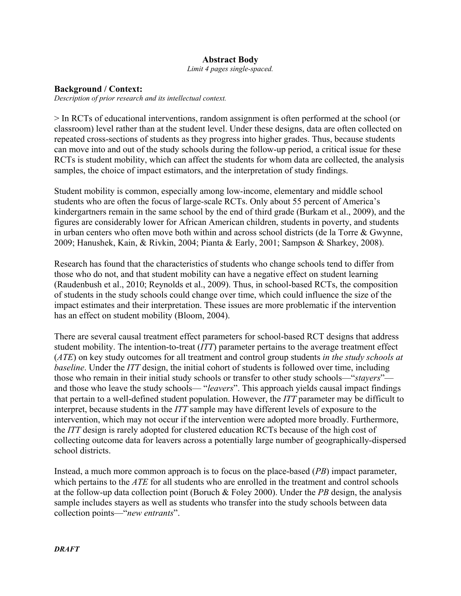## **Abstract Body**

*Limit 4 pages single-spaced.* 

#### **Background / Context:**

*Description of prior research and its intellectual context.*

> In RCTs of educational interventions, random assignment is often performed at the school (or classroom) level rather than at the student level. Under these designs, data are often collected on repeated cross-sections of students as they progress into higher grades. Thus, because students can move into and out of the study schools during the follow-up period, a critical issue for these RCTs is student mobility, which can affect the students for whom data are collected, the analysis samples, the choice of impact estimators, and the interpretation of study findings.

Student mobility is common, especially among low-income, elementary and middle school students who are often the focus of large-scale RCTs. Only about 55 percent of America's kindergartners remain in the same school by the end of third grade (Burkam et al., 2009), and the figures are considerably lower for African American children, students in poverty, and students in urban centers who often move both within and across school districts (de la Torre & Gwynne, 2009; Hanushek, Kain, & Rivkin, 2004; Pianta & Early, 2001; Sampson & Sharkey, 2008).

Research has found that the characteristics of students who change schools tend to differ from those who do not, and that student mobility can have a negative effect on student learning (Raudenbush et al., 2010; Reynolds et al., 2009). Thus, in school-based RCTs, the composition of students in the study schools could change over time, which could influence the size of the impact estimates and their interpretation. These issues are more problematic if the intervention has an effect on student mobility (Bloom, 2004).

There are several causal treatment effect parameters for school-based RCT designs that address student mobility. The intention-to-treat (*ITT*) parameter pertains to the average treatment effect (*ATE*) on key study outcomes for all treatment and control group students *in the study schools at baseline*. Under the *ITT* design, the initial cohort of students is followed over time, including those who remain in their initial study schools or transfer to other study schools—"*stayers*" and those who leave the study schools— "*leavers*". This approach yields causal impact findings that pertain to a well-defined student population. However, the *ITT* parameter may be difficult to interpret, because students in the *ITT* sample may have different levels of exposure to the intervention, which may not occur if the intervention were adopted more broadly. Furthermore, the *ITT* design is rarely adopted for clustered education RCTs because of the high cost of collecting outcome data for leavers across a potentially large number of geographically-dispersed school districts.

Instead, a much more common approach is to focus on the place-based (*PB*) impact parameter, which pertains to the *ATE* for all students who are enrolled in the treatment and control schools at the follow-up data collection point (Boruch & Foley 2000). Under the *PB* design, the analysis sample includes stayers as well as students who transfer into the study schools between data collection points—"*new entrants*".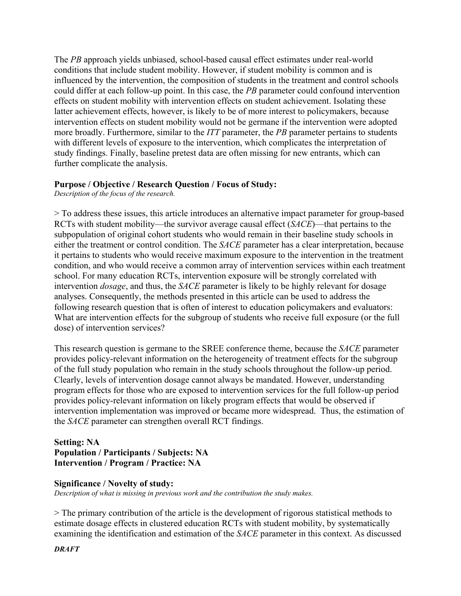The *PB* approach yields unbiased, school-based causal effect estimates under real-world conditions that include student mobility. However, if student mobility is common and is influenced by the intervention, the composition of students in the treatment and control schools could differ at each follow-up point. In this case, the *PB* parameter could confound intervention effects on student mobility with intervention effects on student achievement. Isolating these latter achievement effects, however, is likely to be of more interest to policymakers, because intervention effects on student mobility would not be germane if the intervention were adopted more broadly. Furthermore, similar to the *ITT* parameter, the *PB* parameter pertains to students with different levels of exposure to the intervention, which complicates the interpretation of study findings. Finally, baseline pretest data are often missing for new entrants, which can further complicate the analysis.

## **Purpose / Objective / Research Question / Focus of Study:**

*Description of the focus of the research.* 

> To address these issues, this article introduces an alternative impact parameter for group-based RCTs with student mobility—the survivor average causal effect (*SACE*)—that pertains to the subpopulation of original cohort students who would remain in their baseline study schools in either the treatment or control condition. The *SACE* parameter has a clear interpretation, because it pertains to students who would receive maximum exposure to the intervention in the treatment condition, and who would receive a common array of intervention services within each treatment school. For many education RCTs, intervention exposure will be strongly correlated with intervention *dosage*, and thus, the *SACE* parameter is likely to be highly relevant for dosage analyses. Consequently, the methods presented in this article can be used to address the following research question that is often of interest to education policymakers and evaluators: What are intervention effects for the subgroup of students who receive full exposure (or the full dose) of intervention services?

This research question is germane to the SREE conference theme, because the *SACE* parameter provides policy-relevant information on the heterogeneity of treatment effects for the subgroup of the full study population who remain in the study schools throughout the follow-up period. Clearly, levels of intervention dosage cannot always be mandated. However, understanding program effects for those who are exposed to intervention services for the full follow-up period provides policy-relevant information on likely program effects that would be observed if intervention implementation was improved or became more widespread. Thus, the estimation of the *SACE* parameter can strengthen overall RCT findings.

## **Setting: NA Population / Participants / Subjects: NA Intervention / Program / Practice: NA**

### **Significance / Novelty of study:**

*Description of what is missing in previous work and the contribution the study makes.* 

> The primary contribution of the article is the development of rigorous statistical methods to estimate dosage effects in clustered education RCTs with student mobility, by systematically examining the identification and estimation of the *SACE* parameter in this context. As discussed

*DRAFT*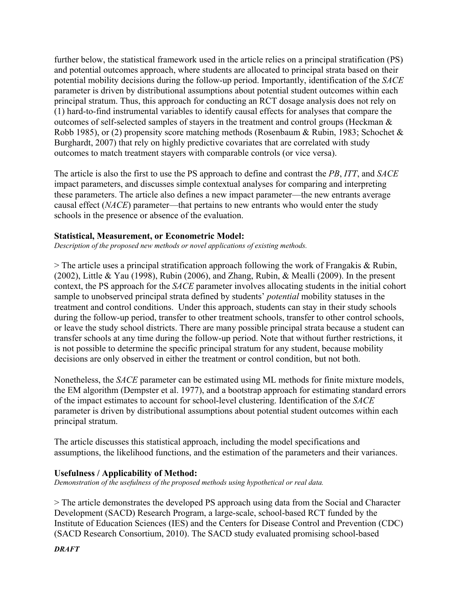further below, the statistical framework used in the article relies on a principal stratification (PS) and potential outcomes approach, where students are allocated to principal strata based on their potential mobility decisions during the follow-up period. Importantly, identification of the *SACE* parameter is driven by distributional assumptions about potential student outcomes within each principal stratum. Thus, this approach for conducting an RCT dosage analysis does not rely on (1) hard-to-find instrumental variables to identify causal effects for analyses that compare the outcomes of self-selected samples of stayers in the treatment and control groups (Heckman & Robb 1985), or (2) propensity score matching methods (Rosenbaum & Rubin, 1983; Schochet & Burghardt, 2007) that rely on highly predictive covariates that are correlated with study outcomes to match treatment stayers with comparable controls (or vice versa).

The article is also the first to use the PS approach to define and contrast the *PB*, *ITT*, and *SACE* impact parameters, and discusses simple contextual analyses for comparing and interpreting these parameters. The article also defines a new impact parameter—the new entrants average causal effect (*NACE*) parameter—that pertains to new entrants who would enter the study schools in the presence or absence of the evaluation.

#### **Statistical, Measurement, or Econometric Model:**

*Description of the proposed new methods or novel applications of existing methods.* 

 $>$  The article uses a principal stratification approach following the work of Frangakis & Rubin, (2002), Little & Yau (1998), Rubin (2006), and Zhang, Rubin, & Mealli (2009). In the present context, the PS approach for the *SACE* parameter involves allocating students in the initial cohort sample to unobserved principal strata defined by students' *potential* mobility statuses in the treatment and control conditions. Under this approach, students can stay in their study schools during the follow-up period, transfer to other treatment schools, transfer to other control schools, or leave the study school districts. There are many possible principal strata because a student can transfer schools at any time during the follow-up period. Note that without further restrictions, it is not possible to determine the specific principal stratum for any student, because mobility decisions are only observed in either the treatment or control condition, but not both.

Nonetheless, the *SACE* parameter can be estimated using ML methods for finite mixture models, the EM algorithm (Dempster et al. 1977), and a bootstrap approach for estimating standard errors of the impact estimates to account for school-level clustering. Identification of the *SACE* parameter is driven by distributional assumptions about potential student outcomes within each principal stratum.

The article discusses this statistical approach, including the model specifications and assumptions, the likelihood functions, and the estimation of the parameters and their variances.

### **Usefulness / Applicability of Method:**

*Demonstration of the usefulness of the proposed methods using hypothetical or real data.* 

> The article demonstrates the developed PS approach using data from the Social and Character Development (SACD) Research Program, a large-scale, school-based RCT funded by the Institute of Education Sciences (IES) and the Centers for Disease Control and Prevention (CDC) (SACD Research Consortium, 2010). The SACD study evaluated promising school-based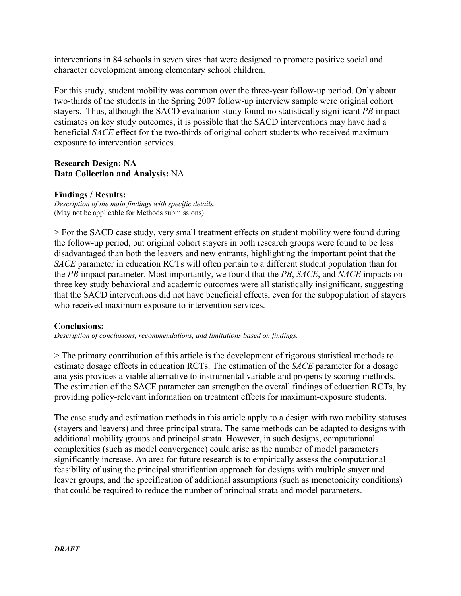interventions in 84 schools in seven sites that were designed to promote positive social and character development among elementary school children.

For this study, student mobility was common over the three-year follow-up period. Only about two-thirds of the students in the Spring 2007 follow-up interview sample were original cohort stayers. Thus, although the SACD evaluation study found no statistically significant *PB* impact estimates on key study outcomes, it is possible that the SACD interventions may have had a beneficial *SACE* effect for the two-thirds of original cohort students who received maximum exposure to intervention services.

## **Research Design: NA Data Collection and Analysis:** NA

### **Findings / Results:**

*Description of the main findings with specific details.*  (May not be applicable for Methods submissions)

> For the SACD case study, very small treatment effects on student mobility were found during the follow-up period, but original cohort stayers in both research groups were found to be less disadvantaged than both the leavers and new entrants, highlighting the important point that the *SACE* parameter in education RCTs will often pertain to a different student population than for the *PB* impact parameter. Most importantly, we found that the *PB*, *SACE*, and *NACE* impacts on three key study behavioral and academic outcomes were all statistically insignificant, suggesting that the SACD interventions did not have beneficial effects, even for the subpopulation of stayers who received maximum exposure to intervention services.

### **Conclusions:**

*Description of conclusions, recommendations, and limitations based on findings.* 

> The primary contribution of this article is the development of rigorous statistical methods to estimate dosage effects in education RCTs. The estimation of the *SACE* parameter for a dosage analysis provides a viable alternative to instrumental variable and propensity scoring methods. The estimation of the SACE parameter can strengthen the overall findings of education RCTs, by providing policy-relevant information on treatment effects for maximum-exposure students.

The case study and estimation methods in this article apply to a design with two mobility statuses (stayers and leavers) and three principal strata. The same methods can be adapted to designs with additional mobility groups and principal strata. However, in such designs, computational complexities (such as model convergence) could arise as the number of model parameters significantly increase. An area for future research is to empirically assess the computational feasibility of using the principal stratification approach for designs with multiple stayer and leaver groups, and the specification of additional assumptions (such as monotonicity conditions) that could be required to reduce the number of principal strata and model parameters.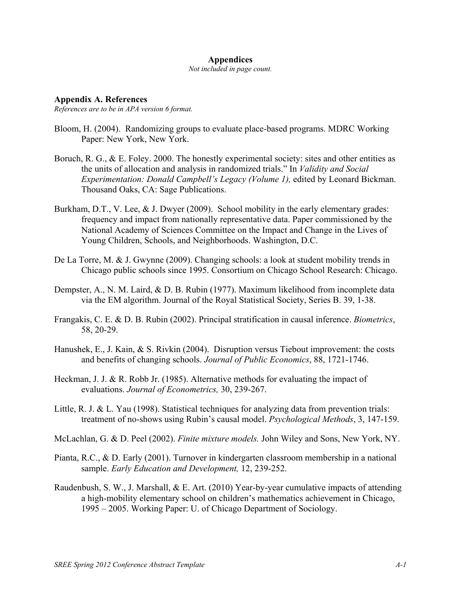#### **Appendices**

*Not included in page count.*

**Appendix A. References** *References are to be in APA version 6 format.*

- Bloom, H. (2004). Randomizing groups to evaluate place-based programs. MDRC Working Paper: New York, New York.
- Boruch, R. G., & E. Foley. 2000. The honestly experimental society: sites and other entities as the units of allocation and analysis in randomized trials." In *Validity and Social Experimentation: Donald Campbell's Legacy (Volume 1),* edited by Leonard Bickman. Thousand Oaks, CA: Sage Publications.
- Burkham, D.T., V. Lee, & J. Dwyer (2009). School mobility in the early elementary grades: frequency and impact from nationally representative data. Paper commissioned by the National Academy of Sciences Committee on the Impact and Change in the Lives of Young Children, Schools, and Neighborhoods. Washington, D.C.
- De La Torre, M. & J. Gwynne (2009). Changing schools: a look at student mobility trends in Chicago public schools since 1995. Consortium on Chicago School Research: Chicago.
- Dempster, A., N. M. Laird, & D. B. Rubin (1977). Maximum likelihood from incomplete data via the EM algorithm. Journal of the Royal Statistical Society, Series B. 39, 1-38.
- Frangakis, C. E. & D. B. Rubin (2002). Principal stratification in causal inference. *Biometrics*, 58, 20-29.
- Hanushek, E., J. Kain, & S. Rivkin (2004). Disruption versus Tiebout improvement: the costs and benefits of changing schools. *Journal of Public Economics*, 88, 1721-1746.
- Heckman, J. J. & R. Robb Jr. (1985). Alternative methods for evaluating the impact of evaluations. *Journal of Econometrics,* 30, 239-267.
- Little, R. J. & L. Yau (1998). Statistical techniques for analyzing data from prevention trials: treatment of no-shows using Rubin's causal model. *Psychological Methods*, 3, 147-159.
- McLachlan, G. & D. Peel (2002). *Finite mixture models.* John Wiley and Sons, New York, NY.
- Pianta, R.C., & D. Early (2001). Turnover in kindergarten classroom membership in a national sample. *Early Education and Development,* 12, 239-252.
- Raudenbush, S. W., J. Marshall, & E. Art. (2010) Year-by-year cumulative impacts of attending a high-mobility elementary school on children's mathematics achievement in Chicago, 1995 – 2005. Working Paper: U. of Chicago Department of Sociology.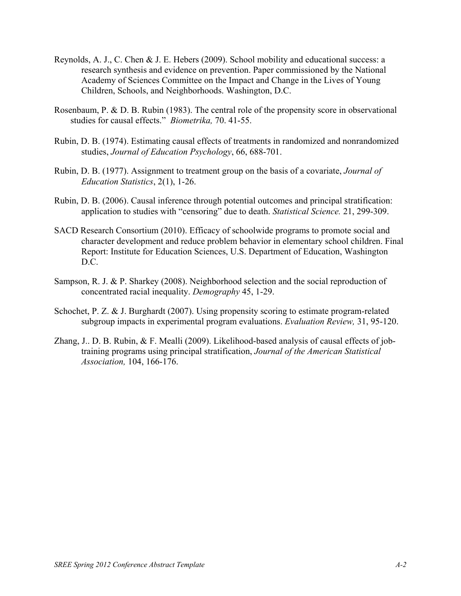- Reynolds, A. J., C. Chen & J. E. Hebers (2009). School mobility and educational success: a research synthesis and evidence on prevention. Paper commissioned by the National Academy of Sciences Committee on the Impact and Change in the Lives of Young Children, Schools, and Neighborhoods. Washington, D.C.
- Rosenbaum, P. & D. B. Rubin (1983). The central role of the propensity score in observational studies for causal effects." *Biometrika,* 70. 41-55.
- Rubin, D. B. (1974). Estimating causal effects of treatments in randomized and nonrandomized studies, *Journal of Education Psychology*, 66, 688-701.
- Rubin, D. B. (1977). Assignment to treatment group on the basis of a covariate, *Journal of Education Statistics*, 2(1), 1-26.
- Rubin, D. B. (2006). Causal inference through potential outcomes and principal stratification: application to studies with "censoring" due to death. *Statistical Science.* 21, 299-309.
- SACD Research Consortium (2010). Efficacy of schoolwide programs to promote social and character development and reduce problem behavior in elementary school children. Final Report: Institute for Education Sciences, U.S. Department of Education, Washington D.C.
- Sampson, R. J. & P. Sharkey (2008). Neighborhood selection and the social reproduction of concentrated racial inequality. *Demography* 45, 1-29.
- Schochet, P. Z. & J. Burghardt (2007). Using propensity scoring to estimate program-related subgroup impacts in experimental program evaluations. *Evaluation Review,* 31, 95-120.
- Zhang, J.. D. B. Rubin, & F. Mealli (2009). Likelihood-based analysis of causal effects of jobtraining programs using principal stratification, *Journal of the American Statistical Association,* 104, 166-176.